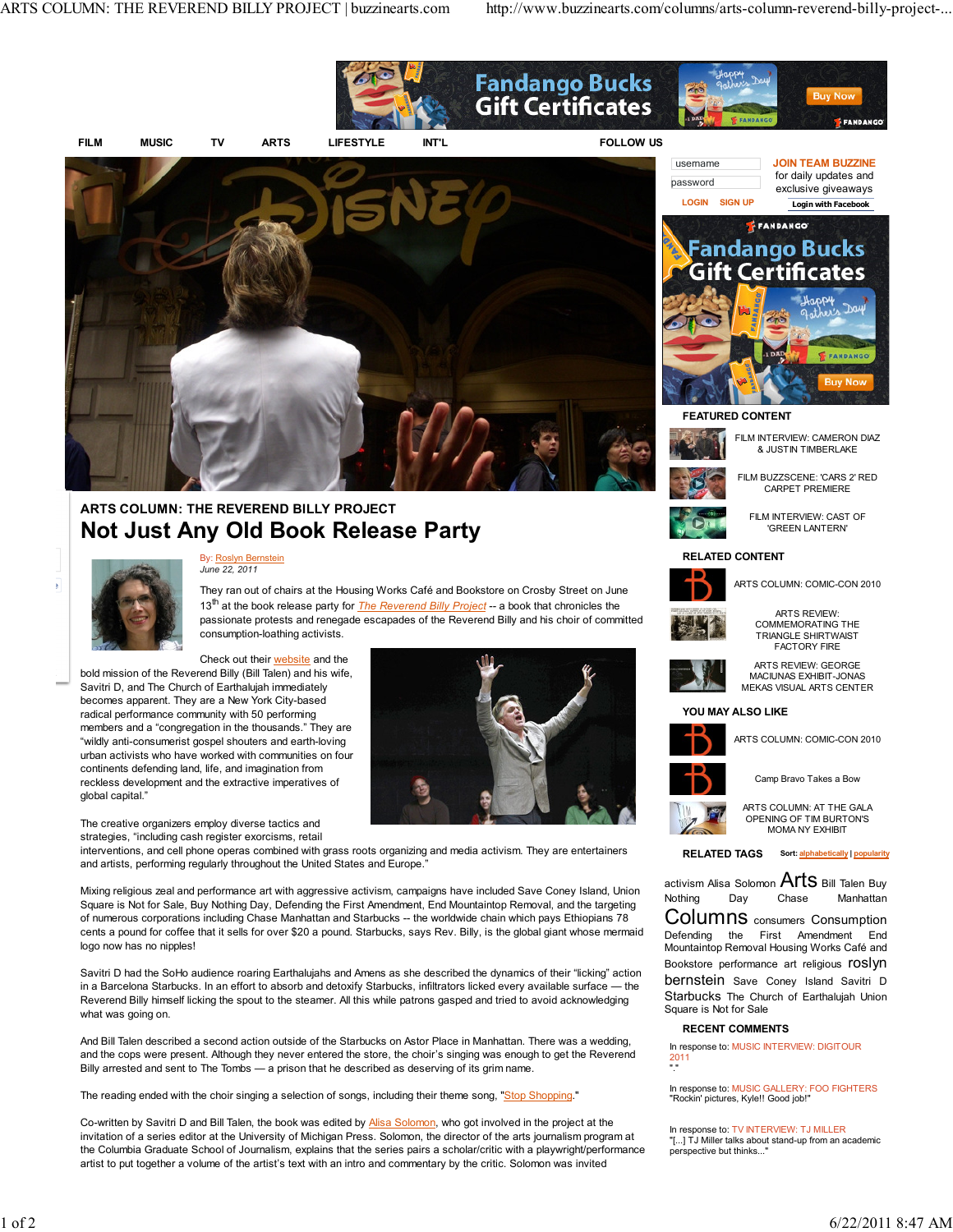

Co-written by Savitri D and Bill Talen, the book was edited by Alisa Solomon, who got involved in the project at the invitation of a series editor at the University of Michigan Press. Solomon, the director of the arts journalism program at the Columbia Graduate School of Journalism, explains that the series pairs a scholar/critic with a playwright/performance artist to put together a volume of the artist's text with an intro and commentary by the critic. Solomon was invited

In response to: TV INTERVIEW: TJ MILLER "[...] TJ Miller talks about stand-up from an academic

perspective but thinks..."